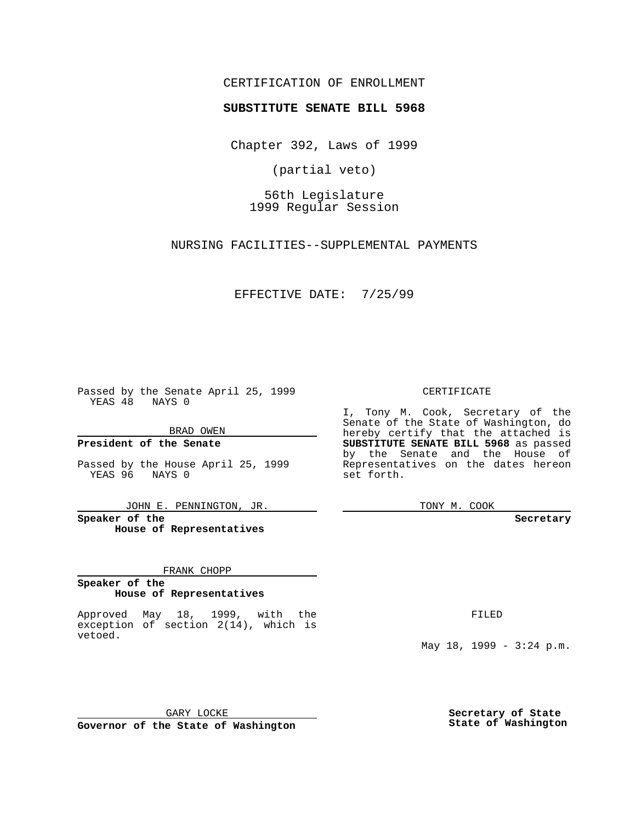## CERTIFICATION OF ENROLLMENT

## **SUBSTITUTE SENATE BILL 5968**

Chapter 392, Laws of 1999

(partial veto)

56th Legislature 1999 Regular Session

NURSING FACILITIES--SUPPLEMENTAL PAYMENTS

EFFECTIVE DATE: 7/25/99

Passed by the Senate April 25, 1999 YEAS 48 NAYS 0

BRAD OWEN

**President of the Senate**

Passed by the House April 25, 1999 YEAS 96 NAYS 0

JOHN E. PENNINGTON, JR.

**Speaker of the House of Representatives**

FRANK CHOPP

**Speaker of the House of Representatives**

Approved May 18, 1999, with the exception of section 2(14), which is vetoed.

CERTIFICATE

I, Tony M. Cook, Secretary of the Senate of the State of Washington, do hereby certify that the attached is **SUBSTITUTE SENATE BILL 5968** as passed by the Senate and the House of Representatives on the dates hereon set forth.

TONY M. COOK

**Secretary**

FILED

May 18, 1999 - 3:24 p.m.

GARY LOCKE **Governor of the State of Washington** **Secretary of State State of Washington**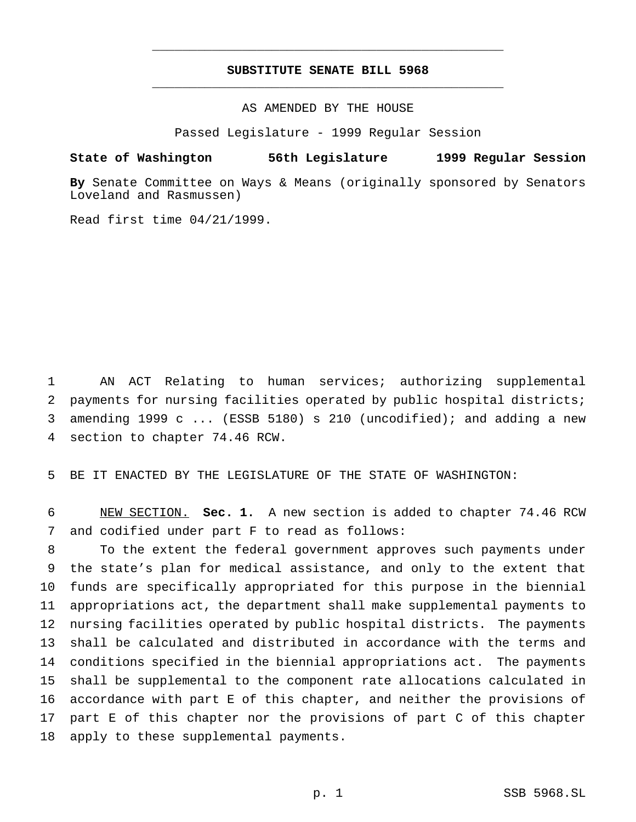## **SUBSTITUTE SENATE BILL 5968** \_\_\_\_\_\_\_\_\_\_\_\_\_\_\_\_\_\_\_\_\_\_\_\_\_\_\_\_\_\_\_\_\_\_\_\_\_\_\_\_\_\_\_\_\_\_\_

\_\_\_\_\_\_\_\_\_\_\_\_\_\_\_\_\_\_\_\_\_\_\_\_\_\_\_\_\_\_\_\_\_\_\_\_\_\_\_\_\_\_\_\_\_\_\_

AS AMENDED BY THE HOUSE

Passed Legislature - 1999 Regular Session

**State of Washington 56th Legislature 1999 Regular Session**

**By** Senate Committee on Ways & Means (originally sponsored by Senators Loveland and Rasmussen)

Read first time 04/21/1999.

 AN ACT Relating to human services; authorizing supplemental payments for nursing facilities operated by public hospital districts; amending 1999 c ... (ESSB 5180) s 210 (uncodified); and adding a new section to chapter 74.46 RCW.

BE IT ENACTED BY THE LEGISLATURE OF THE STATE OF WASHINGTON:

 NEW SECTION. **Sec. 1.** A new section is added to chapter 74.46 RCW and codified under part F to read as follows:

 To the extent the federal government approves such payments under the state's plan for medical assistance, and only to the extent that funds are specifically appropriated for this purpose in the biennial appropriations act, the department shall make supplemental payments to nursing facilities operated by public hospital districts. The payments shall be calculated and distributed in accordance with the terms and conditions specified in the biennial appropriations act. The payments shall be supplemental to the component rate allocations calculated in accordance with part E of this chapter, and neither the provisions of part E of this chapter nor the provisions of part C of this chapter apply to these supplemental payments.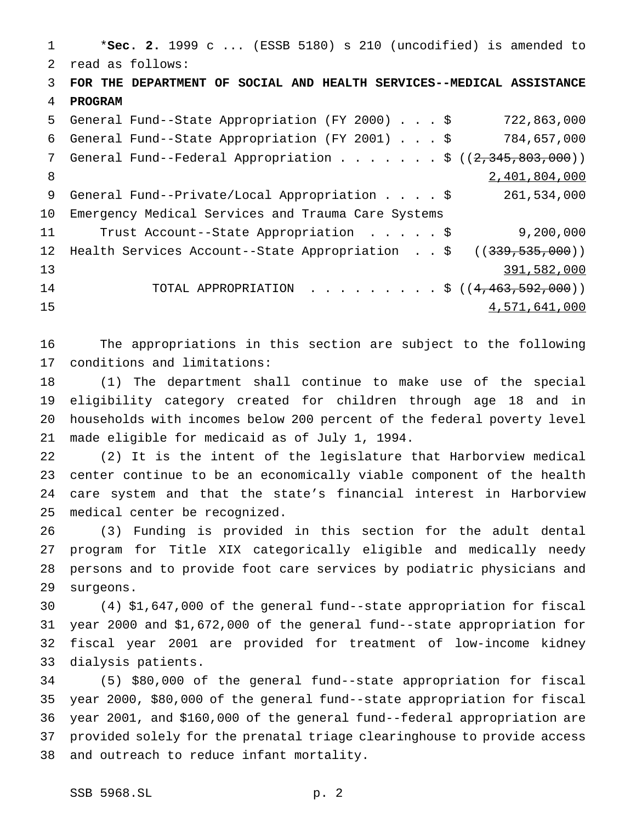\***Sec. 2.** 1999 c ... (ESSB 5180) s 210 (uncodified) is amended to read as follows: **FOR THE DEPARTMENT OF SOCIAL AND HEALTH SERVICES--MEDICAL ASSISTANCE PROGRAM** General Fund--State Appropriation (FY 2000)...\$ 722,863,000 General Fund--State Appropriation (FY 2001)...\$ 784,657,000 7 General Fund--Federal Appropriation . . . . . . \$ ((2,345,803,000)) 8 2,401,804,000 General Fund--Private/Local Appropriation....\$ 261,534,000 Emergency Medical Services and Trauma Care Systems Trust Account--State Appropriation .....\$ 9,200,000 12 Health Services Account--State Appropriation . . \$ ((339,535,000)) 391,582,000 14 TOTAL APPROPRIATION . . . . . . . . \$ ((4,463,592,000)) 4,571,641,000

 The appropriations in this section are subject to the following conditions and limitations:

 (1) The department shall continue to make use of the special eligibility category created for children through age 18 and in households with incomes below 200 percent of the federal poverty level made eligible for medicaid as of July 1, 1994.

 (2) It is the intent of the legislature that Harborview medical center continue to be an economically viable component of the health care system and that the state's financial interest in Harborview medical center be recognized.

 (3) Funding is provided in this section for the adult dental program for Title XIX categorically eligible and medically needy persons and to provide foot care services by podiatric physicians and surgeons.

 (4) \$1,647,000 of the general fund--state appropriation for fiscal year 2000 and \$1,672,000 of the general fund--state appropriation for fiscal year 2001 are provided for treatment of low-income kidney dialysis patients.

 (5) \$80,000 of the general fund--state appropriation for fiscal year 2000, \$80,000 of the general fund--state appropriation for fiscal year 2001, and \$160,000 of the general fund--federal appropriation are provided solely for the prenatal triage clearinghouse to provide access and outreach to reduce infant mortality.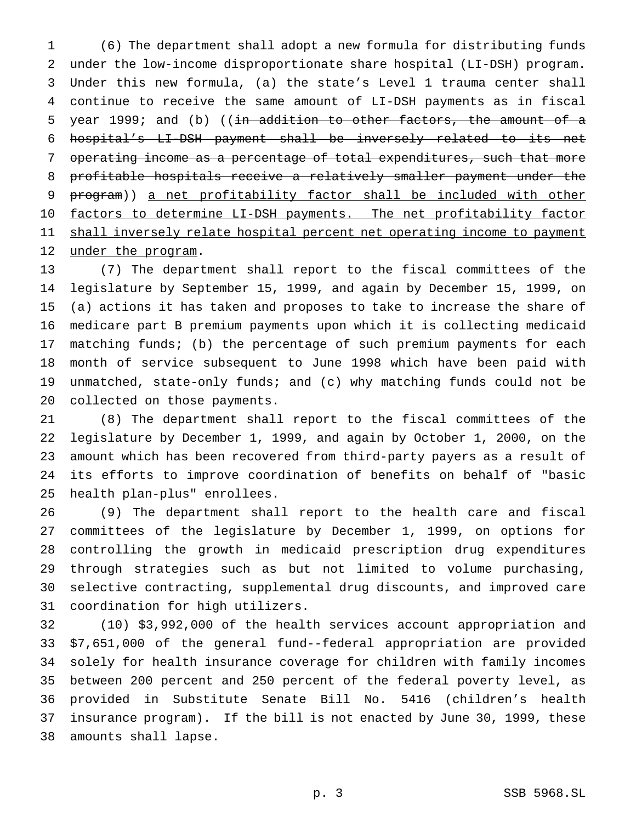(6) The department shall adopt a new formula for distributing funds under the low-income disproportionate share hospital (LI-DSH) program. Under this new formula, (a) the state's Level 1 trauma center shall continue to receive the same amount of LI-DSH payments as in fiscal 5 year 1999; and (b) (( $\pm n$  addition to other factors, the amount of a hospital's LI-DSH payment shall be inversely related to its net operating income as a percentage of total expenditures, such that more profitable hospitals receive a relatively smaller payment under the program)) a net profitability factor shall be included with other 10 factors to determine LI-DSH payments. The net profitability factor 11 shall inversely relate hospital percent net operating income to payment 12 under the program.

 (7) The department shall report to the fiscal committees of the legislature by September 15, 1999, and again by December 15, 1999, on (a) actions it has taken and proposes to take to increase the share of medicare part B premium payments upon which it is collecting medicaid matching funds; (b) the percentage of such premium payments for each month of service subsequent to June 1998 which have been paid with unmatched, state-only funds; and (c) why matching funds could not be collected on those payments.

 (8) The department shall report to the fiscal committees of the legislature by December 1, 1999, and again by October 1, 2000, on the amount which has been recovered from third-party payers as a result of its efforts to improve coordination of benefits on behalf of "basic health plan-plus" enrollees.

 (9) The department shall report to the health care and fiscal committees of the legislature by December 1, 1999, on options for controlling the growth in medicaid prescription drug expenditures through strategies such as but not limited to volume purchasing, selective contracting, supplemental drug discounts, and improved care coordination for high utilizers.

 (10) \$3,992,000 of the health services account appropriation and \$7,651,000 of the general fund--federal appropriation are provided solely for health insurance coverage for children with family incomes between 200 percent and 250 percent of the federal poverty level, as provided in Substitute Senate Bill No. 5416 (children's health insurance program). If the bill is not enacted by June 30, 1999, these amounts shall lapse.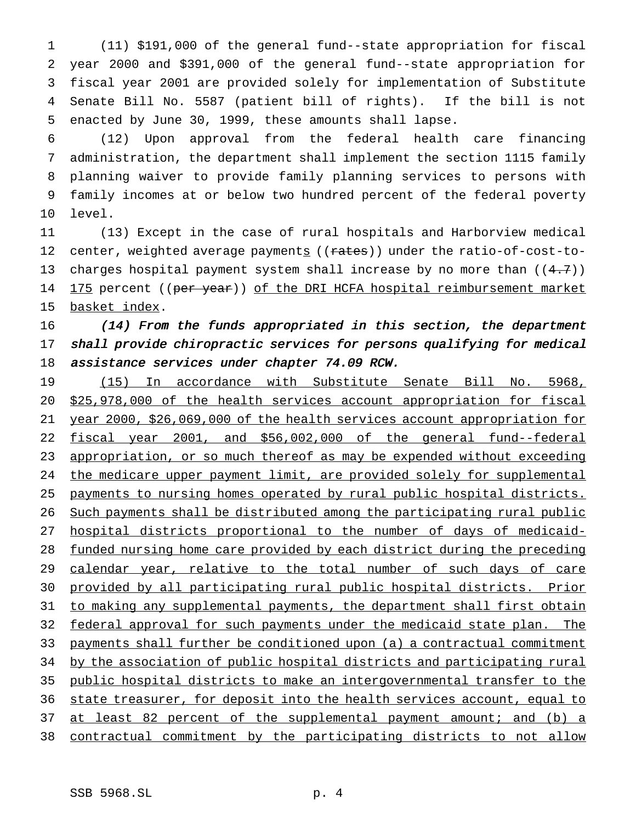(11) \$191,000 of the general fund--state appropriation for fiscal year 2000 and \$391,000 of the general fund--state appropriation for fiscal year 2001 are provided solely for implementation of Substitute Senate Bill No. 5587 (patient bill of rights). If the bill is not enacted by June 30, 1999, these amounts shall lapse.

 (12) Upon approval from the federal health care financing administration, the department shall implement the section 1115 family planning waiver to provide family planning services to persons with family incomes at or below two hundred percent of the federal poverty level.

 (13) Except in the case of rural hospitals and Harborview medical 12 center, weighted average payments ((rates)) under the ratio-of-cost-to-13 charges hospital payment system shall increase by no more than  $((4.7))$ 14 175 percent ((per year)) of the DRI HCFA hospital reimbursement market basket index.

16 (14) From the funds appropriated in this section, the department shall provide chiropractic services for persons qualifying for medical assistance services under chapter 74.09 RCW.

 (15) In accordance with Substitute Senate Bill No. 5968, \$25,978,000 of the health services account appropriation for fiscal year 2000, \$26,069,000 of the health services account appropriation for fiscal year 2001, and \$56,002,000 of the general fund--federal 23 appropriation, or so much thereof as may be expended without exceeding 24 the medicare upper payment limit, are provided solely for supplemental payments to nursing homes operated by rural public hospital districts. Such payments shall be distributed among the participating rural public hospital districts proportional to the number of days of medicaid- funded nursing home care provided by each district during the preceding 29 calendar year, relative to the total number of such days of care provided by all participating rural public hospital districts. Prior 31 to making any supplemental payments, the department shall first obtain 32 federal approval for such payments under the medicaid state plan. The payments shall further be conditioned upon (a) a contractual commitment 34 by the association of public hospital districts and participating rural public hospital districts to make an intergovernmental transfer to the 36 state treasurer, for deposit into the health services account, equal to 37 at least 82 percent of the supplemental payment amount; and (b) a contractual commitment by the participating districts to not allow